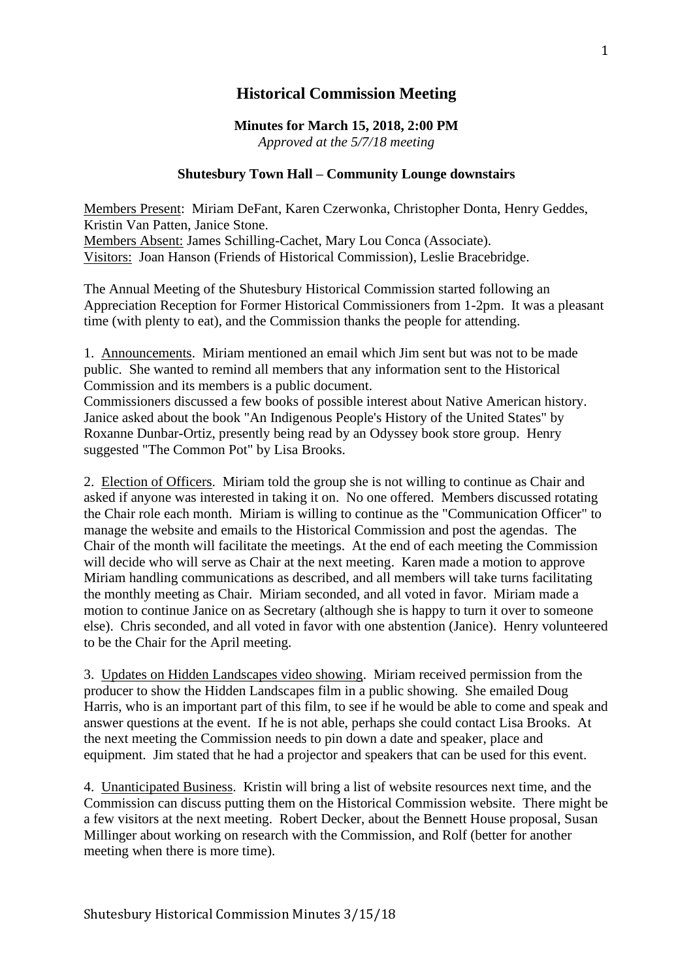## **Historical Commission Meeting**

## **Minutes for March 15, 2018, 2:00 PM** *Approved at the 5/7/18 meeting*

## **Shutesbury Town Hall – Community Lounge downstairs**

Members Present: Miriam DeFant, Karen Czerwonka, Christopher Donta, Henry Geddes, Kristin Van Patten, Janice Stone. Members Absent: James Schilling-Cachet, Mary Lou Conca (Associate). Visitors: Joan Hanson (Friends of Historical Commission), Leslie Bracebridge.

The Annual Meeting of the Shutesbury Historical Commission started following an Appreciation Reception for Former Historical Commissioners from 1-2pm. It was a pleasant time (with plenty to eat), and the Commission thanks the people for attending.

1. Announcements. Miriam mentioned an email which Jim sent but was not to be made public. She wanted to remind all members that any information sent to the Historical Commission and its members is a public document.

Commissioners discussed a few books of possible interest about Native American history. Janice asked about the book "An Indigenous People's History of the United States" by Roxanne Dunbar-Ortiz, presently being read by an Odyssey book store group. Henry suggested "The Common Pot" by Lisa Brooks.

2. Election of Officers. Miriam told the group she is not willing to continue as Chair and asked if anyone was interested in taking it on. No one offered. Members discussed rotating the Chair role each month. Miriam is willing to continue as the "Communication Officer" to manage the website and emails to the Historical Commission and post the agendas. The Chair of the month will facilitate the meetings. At the end of each meeting the Commission will decide who will serve as Chair at the next meeting. Karen made a motion to approve Miriam handling communications as described, and all members will take turns facilitating the monthly meeting as Chair. Miriam seconded, and all voted in favor. Miriam made a motion to continue Janice on as Secretary (although she is happy to turn it over to someone else). Chris seconded, and all voted in favor with one abstention (Janice). Henry volunteered to be the Chair for the April meeting.

3. Updates on Hidden Landscapes video showing. Miriam received permission from the producer to show the Hidden Landscapes film in a public showing. She emailed Doug Harris, who is an important part of this film, to see if he would be able to come and speak and answer questions at the event. If he is not able, perhaps she could contact Lisa Brooks. At the next meeting the Commission needs to pin down a date and speaker, place and equipment. Jim stated that he had a projector and speakers that can be used for this event.

4. Unanticipated Business. Kristin will bring a list of website resources next time, and the Commission can discuss putting them on the Historical Commission website. There might be a few visitors at the next meeting. Robert Decker, about the Bennett House proposal, Susan Millinger about working on research with the Commission, and Rolf (better for another meeting when there is more time).